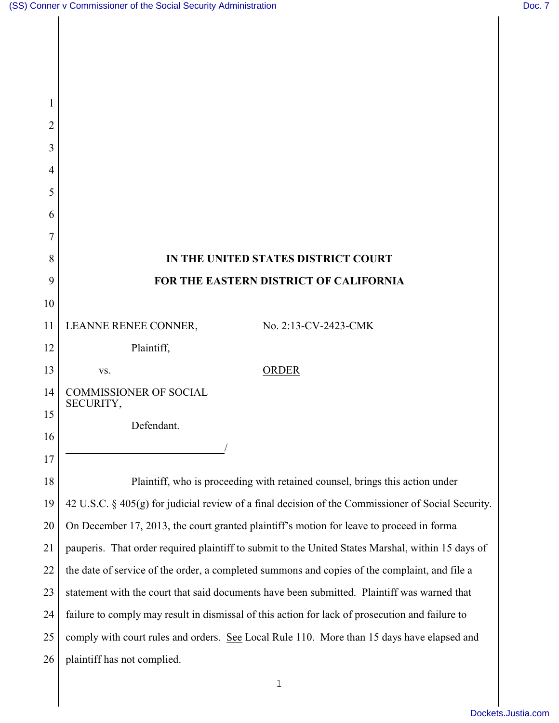1

 $\parallel$ 

| 2  |                                                                                                    |
|----|----------------------------------------------------------------------------------------------------|
| 3  |                                                                                                    |
| 4  |                                                                                                    |
| 5  |                                                                                                    |
| 6  |                                                                                                    |
| 7  |                                                                                                    |
| 8  | IN THE UNITED STATES DISTRICT COURT                                                                |
| 9  | FOR THE EASTERN DISTRICT OF CALIFORNIA                                                             |
| 10 |                                                                                                    |
| 11 | LEANNE RENEE CONNER,<br>No. 2:13-CV-2423-CMK                                                       |
| 12 | Plaintiff,                                                                                         |
| 13 | <b>ORDER</b><br>VS.                                                                                |
| 14 | <b>COMMISSIONER OF SOCIAL</b><br>SECURITY,                                                         |
| 15 | Defendant.                                                                                         |
| 16 |                                                                                                    |
| 17 |                                                                                                    |
| 18 | Plaintiff, who is proceeding with retained counsel, brings this action under                       |
| 19 | 42 U.S.C. § 405(g) for judicial review of a final decision of the Commissioner of Social Security. |
| 20 | On December 17, 2013, the court granted plaintiff's motion for leave to proceed in forma           |
| 21 | pauperis. That order required plaintiff to submit to the United States Marshal, within 15 days of  |
| 22 | the date of service of the order, a completed summons and copies of the complaint, and file a      |
| 23 | statement with the court that said documents have been submitted. Plaintiff was warned that        |
| 24 | failure to comply may result in dismissal of this action for lack of prosecution and failure to    |
| 25 | comply with court rules and orders. See Local Rule 110. More than 15 days have elapsed and         |
| 26 | plaintiff has not complied.                                                                        |
|    | $\mathbf{1}$                                                                                       |